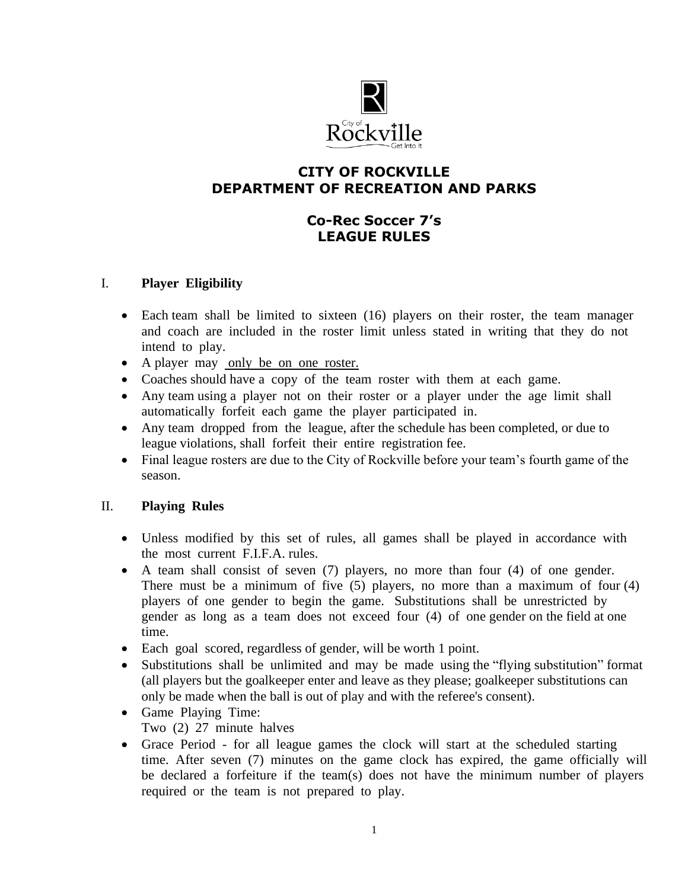

## **CITY OF ROCKVILLE DEPARTMENT OF RECREATION AND PARKS**

# **Co-Rec Soccer 7's LEAGUE RULES**

#### I. **Player Eligibility**

- Each team shall be limited to sixteen (16) players on their roster, the team manager and coach are included in the roster limit unless stated in writing that they do not intend to play.
- A player may only be on one roster.
- Coaches should have a copy of the team roster with them at each game.
- Any team using a player not on their roster or a player under the age limit shall automatically forfeit each game the player participated in.
- Any team dropped from the league, after the schedule has been completed, or due to league violations, shall forfeit their entire registration fee.
- Final league rosters are due to the City of Rockville before your team's fourth game of the season.

## II. **Playing Rules**

- Unless modified by this set of rules, all games shall be played in accordance with the most current F.I.F.A. rules.
- A team shall consist of seven (7) players, no more than four (4) of one gender. There must be a minimum of five (5) players, no more than a maximum of four (4) players of one gender to begin the game. Substitutions shall be unrestricted by gender as long as a team does not exceed four (4) of one gender on the field at one time.
- Each goal scored, regardless of gender, will be worth 1 point.
- Substitutions shall be unlimited and may be made using the "flying substitution" format (all players but the goalkeeper enter and leave as they please; goalkeeper substitutions can only be made when the ball is out of play and with the referee's consent).
- Game Playing Time: Two (2) 27 minute halves
- Grace Period for all league games the clock will start at the scheduled starting time. After seven (7) minutes on the game clock has expired, the game officially will be declared a forfeiture if the team(s) does not have the minimum number of players required or the team is not prepared to play.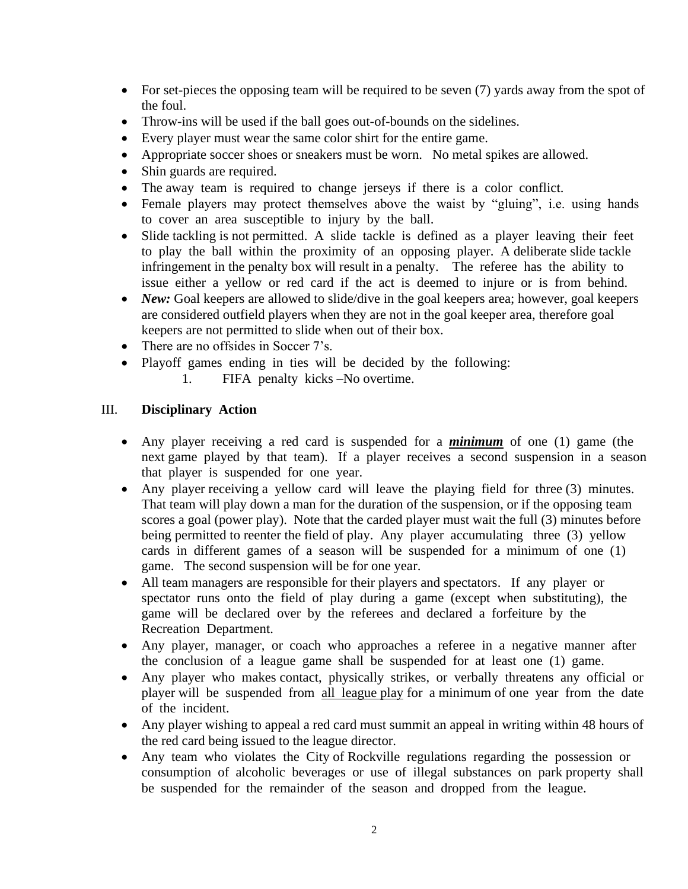- For set-pieces the opposing team will be required to be seven (7) yards away from the spot of the foul.
- Throw-ins will be used if the ball goes out-of-bounds on the sidelines.
- Every player must wear the same color shirt for the entire game.
- Appropriate soccer shoes or sneakers must be worn. No metal spikes are allowed.
- Shin guards are required.
- The away team is required to change jerseys if there is a color conflict.
- Female players may protect themselves above the waist by "gluing", i.e. using hands to cover an area susceptible to injury by the ball.
- Slide tackling is not permitted. A slide tackle is defined as a player leaving their feet to play the ball within the proximity of an opposing player. A deliberate slide tackle infringement in the penalty box will result in a penalty. The referee has the ability to issue either a yellow or red card if the act is deemed to injure or is from behind.
- *New*: Goal keepers are allowed to slide/dive in the goal keepers area; however, goal keepers are considered outfield players when they are not in the goal keeper area, therefore goal keepers are not permitted to slide when out of their box.
- There are no offsides in Soccer 7's.
- Playoff games ending in ties will be decided by the following:
	- 1. FIFA penalty kicks –No overtime.

## III. **Disciplinary Action**

- Any player receiving a red card is suspended for a *minimum* of one (1) game (the next game played by that team). If a player receives a second suspension in a season that player is suspended for one year.
- Any player receiving a yellow card will leave the playing field for three (3) minutes. That team will play down a man for the duration of the suspension, or if the opposing team scores a goal (power play). Note that the carded player must wait the full (3) minutes before being permitted to reenter the field of play. Any player accumulating three (3) yellow cards in different games of a season will be suspended for a minimum of one (1) game. The second suspension will be for one year.
- All team managers are responsible for their players and spectators. If any player or spectator runs onto the field of play during a game (except when substituting), the game will be declared over by the referees and declared a forfeiture by the Recreation Department.
- Any player, manager, or coach who approaches a referee in a negative manner after the conclusion of a league game shall be suspended for at least one (1) game.
- Any player who makes contact, physically strikes, or verbally threatens any official or player will be suspended from all league play for a minimum of one year from the date of the incident.
- Any player wishing to appeal a red card must summit an appeal in writing within 48 hours of the red card being issued to the league director.
- Any team who violates the City of Rockville regulations regarding the possession or consumption of alcoholic beverages or use of illegal substances on park property shall be suspended for the remainder of the season and dropped from the league.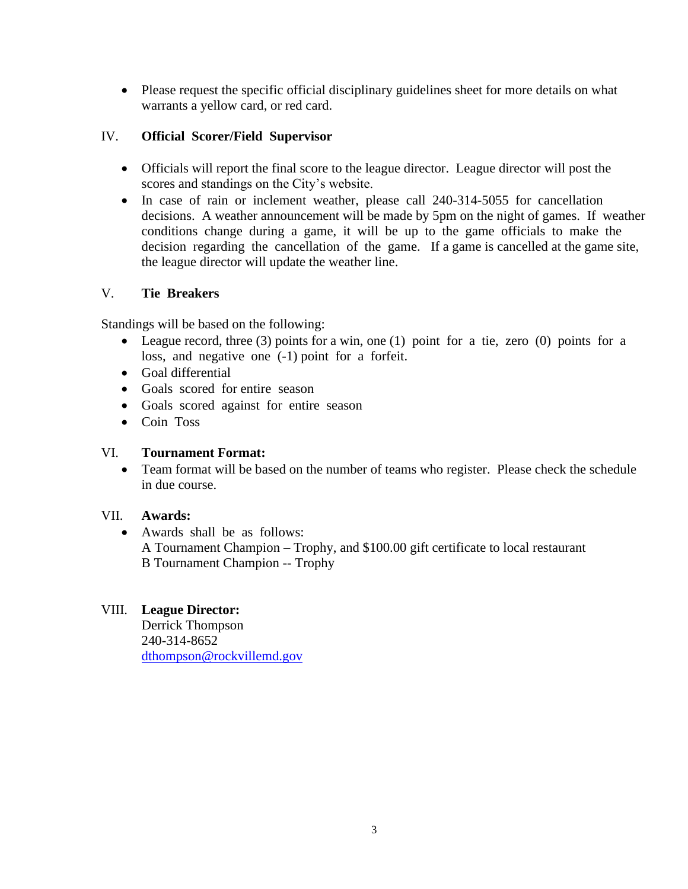• Please request the specific official disciplinary guidelines sheet for more details on what warrants a yellow card, or red card.

## IV. **Official Scorer/Field Supervisor**

- Officials will report the final score to the league director. League director will post the scores and standings on the City's website.
- In case of rain or inclement weather, please call 240-314-5055 for cancellation decisions. A weather announcement will be made by 5pm on the night of games. If weather conditions change during a game, it will be up to the game officials to make the decision regarding the cancellation of the game. If a game is cancelled at the game site, the league director will update the weather line.

## V. **Tie Breakers**

Standings will be based on the following:

- League record, three (3) points for a win, one (1) point for a tie, zero (0) points for a loss, and negative one (-1) point for a forfeit.
- Goal differential
- Goals scored for entire season
- Goals scored against for entire season
- Coin Toss

## VI. **Tournament Format:**

• Team format will be based on the number of teams who register. Please check the schedule in due course.

## VII. **Awards:**

• Awards shall be as follows: A Tournament Champion – Trophy, and \$100.00 gift certificate to local restaurant B Tournament Champion -- Trophy

## VIII. **League Director:**

Derrick Thompson 240-314-8652 [dthompson@rockvillemd.gov](mailto:dthompson@rockvillemd.gov)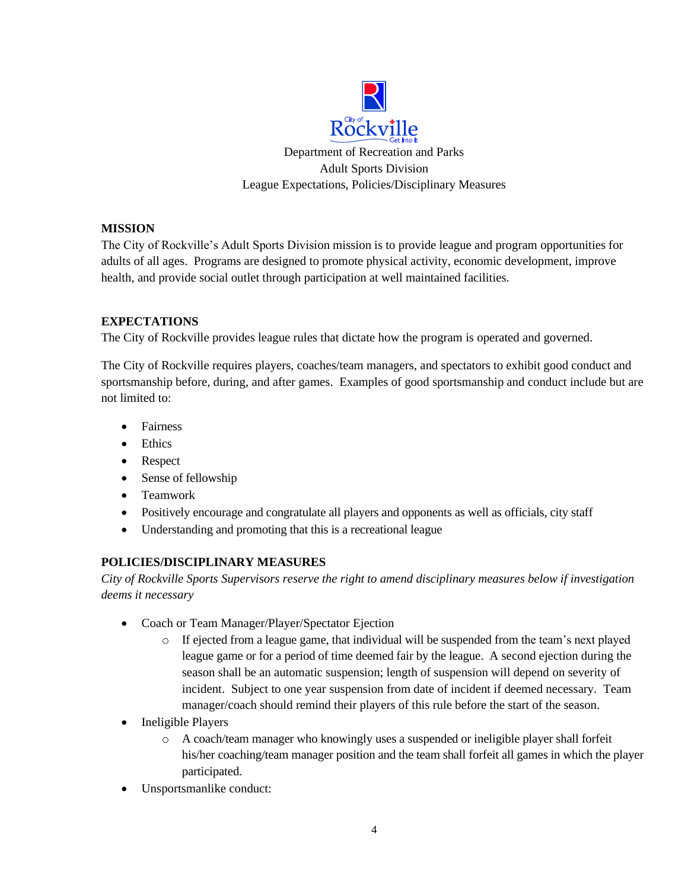

#### **MISSION**

The City of Rockville's Adult Sports Division mission is to provide league and program opportunities for adults of all ages. Programs are designed to promote physical activity, economic development, improve health, and provide social outlet through participation at well maintained facilities.

#### **EXPECTATIONS**

The City of Rockville provides league rules that dictate how the program is operated and governed.

The City of Rockville requires players, coaches/team managers, and spectators to exhibit good conduct and sportsmanship before, during, and after games. Examples of good sportsmanship and conduct include but are not limited to:

- Fairness
- Ethics
- Respect
- Sense of fellowship
- Teamwork
- Positively encourage and congratulate all players and opponents as well as officials, city staff
- Understanding and promoting that this is a recreational league

## **POLICIES/DISCIPLINARY MEASURES**

*City of Rockville Sports Supervisors reserve the right to amend disciplinary measures below if investigation deems it necessary* 

- Coach or Team Manager/Player/Spectator Ejection
	- $\circ$  If ejected from a league game, that individual will be suspended from the team's next played league game or for a period of time deemed fair by the league. A second ejection during the season shall be an automatic suspension; length of suspension will depend on severity of incident. Subject to one year suspension from date of incident if deemed necessary. Team manager/coach should remind their players of this rule before the start of the season.
- Ineligible Players
	- o A coach/team manager who knowingly uses a suspended or ineligible player shall forfeit his/her coaching/team manager position and the team shall forfeit all games in which the player participated.
- Unsportsmanlike conduct: